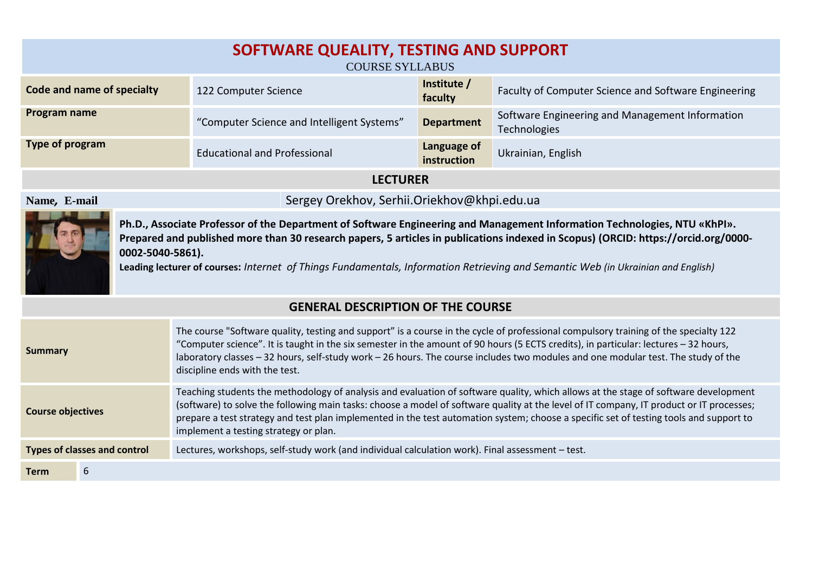| SOFTWARE QUEALITY, TESTING AND SUPPORT<br><b>COURSE SYLLABUS</b> |                                            |                            |                                                                 |  |  |  |
|------------------------------------------------------------------|--------------------------------------------|----------------------------|-----------------------------------------------------------------|--|--|--|
| Code and name of specialty                                       | 122 Computer Science                       | Institute /<br>faculty     | Faculty of Computer Science and Software Engineering            |  |  |  |
| <b>Program name</b>                                              | "Computer Science and Intelligent Systems" | <b>Department</b>          | Software Engineering and Management Information<br>Technologies |  |  |  |
| Type of program                                                  | <b>Educational and Professional</b>        | Language of<br>instruction | Ukrainian, English                                              |  |  |  |
| $I$ $P$ $T$ $I$ $I$ $R$ $R$ $R$                                  |                                            |                            |                                                                 |  |  |  |

## **LECTURER**





**Ph.D., Associate Professor of the Department of Software Engineering and Management Information Technologies, NTU «KhPI». Prepared and published more than 30 research papers, 5 articles in publications indexed in Scopus) (ORCID: https://orcid.org/0000- 0002-5040-5861).** 

**Leading lecturer of courses:** *Internet of Things Fundamentals, Information Retrieving and Semantic Web (in Ukrainian and English)*

## **GENERAL DESCRIPTION OF THE COURSE**

| The course "Software quality, testing and support" is a course in the cycle of professional compulsory training of the specialty 122<br>"Computer science". It is taught in the six semester in the amount of 90 hours (5 ECTS credits), in particular: lectures - 32 hours,<br><b>Summary</b><br>laboratory classes - 32 hours, self-study work - 26 hours. The course includes two modules and one modular test. The study of the<br>discipline ends with the test. |                                                                                                                                                                                                                                                                                                                                                                                                                                                                    |  |  |
|-----------------------------------------------------------------------------------------------------------------------------------------------------------------------------------------------------------------------------------------------------------------------------------------------------------------------------------------------------------------------------------------------------------------------------------------------------------------------|--------------------------------------------------------------------------------------------------------------------------------------------------------------------------------------------------------------------------------------------------------------------------------------------------------------------------------------------------------------------------------------------------------------------------------------------------------------------|--|--|
| <b>Course objectives</b>                                                                                                                                                                                                                                                                                                                                                                                                                                              | Teaching students the methodology of analysis and evaluation of software quality, which allows at the stage of software development<br>(software) to solve the following main tasks: choose a model of software quality at the level of IT company, IT product or IT processes;<br>prepare a test strategy and test plan implemented in the test automation system; choose a specific set of testing tools and support to<br>implement a testing strategy or plan. |  |  |
| <b>Types of classes and control</b>                                                                                                                                                                                                                                                                                                                                                                                                                                   | Lectures, workshops, self-study work (and individual calculation work). Final assessment - test.                                                                                                                                                                                                                                                                                                                                                                   |  |  |
| 6<br><b>Term</b>                                                                                                                                                                                                                                                                                                                                                                                                                                                      |                                                                                                                                                                                                                                                                                                                                                                                                                                                                    |  |  |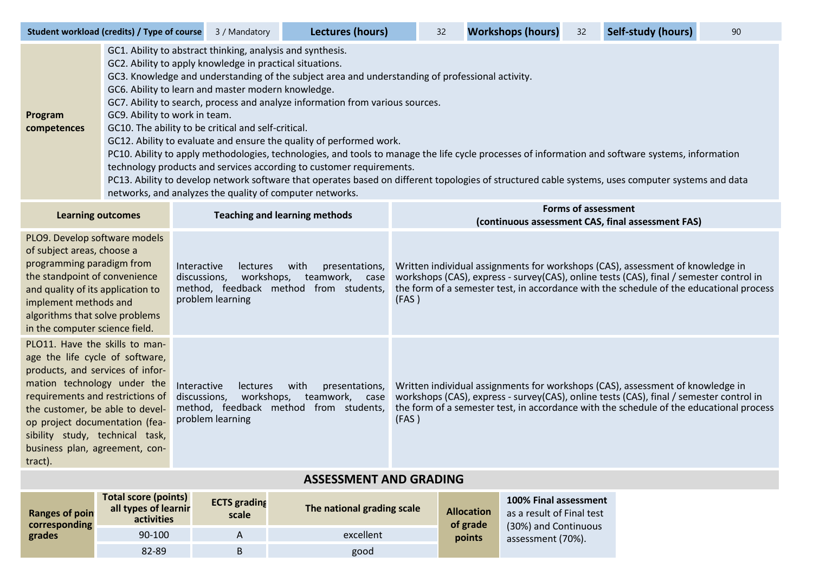| Student workload (credits) / Type of course                                                                                                                                                                                                                                                                                                                                                                                                                                                                                                                                                                                                                                                                                                                                                                                                                                                                                                                                                              |                                                                                                                                                                                                                                                                                                                                                                                                                                         |                                  | 3 / Mandatory                                                                                                                                                                                                                                                                 | Lectures (hours)                     | 32 | <b>Workshops (hours)</b> | 32 | Self-study (hours)                                                              | 90 |
|----------------------------------------------------------------------------------------------------------------------------------------------------------------------------------------------------------------------------------------------------------------------------------------------------------------------------------------------------------------------------------------------------------------------------------------------------------------------------------------------------------------------------------------------------------------------------------------------------------------------------------------------------------------------------------------------------------------------------------------------------------------------------------------------------------------------------------------------------------------------------------------------------------------------------------------------------------------------------------------------------------|-----------------------------------------------------------------------------------------------------------------------------------------------------------------------------------------------------------------------------------------------------------------------------------------------------------------------------------------------------------------------------------------------------------------------------------------|----------------------------------|-------------------------------------------------------------------------------------------------------------------------------------------------------------------------------------------------------------------------------------------------------------------------------|--------------------------------------|----|--------------------------|----|---------------------------------------------------------------------------------|----|
| GC1. Ability to abstract thinking, analysis and synthesis.<br>GC2. Ability to apply knowledge in practical situations.<br>GC3. Knowledge and understanding of the subject area and understanding of professional activity.<br>GC6. Ability to learn and master modern knowledge.<br>GC7. Ability to search, process and analyze information from various sources.<br>GC9. Ability to work in team.<br>Program<br>GC10. The ability to be critical and self-critical.<br>competences<br>GC12. Ability to evaluate and ensure the quality of performed work.<br>PC10. Ability to apply methodologies, technologies, and tools to manage the life cycle processes of information and software systems, information<br>technology products and services according to customer requirements.<br>PC13. Ability to develop network software that operates based on different topologies of structured cable systems, uses computer systems and data<br>networks, and analyzes the quality of computer networks. |                                                                                                                                                                                                                                                                                                                                                                                                                                         |                                  |                                                                                                                                                                                                                                                                               |                                      |    |                          |    |                                                                                 |    |
| <b>Learning outcomes</b>                                                                                                                                                                                                                                                                                                                                                                                                                                                                                                                                                                                                                                                                                                                                                                                                                                                                                                                                                                                 |                                                                                                                                                                                                                                                                                                                                                                                                                                         |                                  |                                                                                                                                                                                                                                                                               | <b>Teaching and learning methods</b> |    |                          |    | <b>Forms of assessment</b><br>(continuous assessment CAS, final assessment FAS) |    |
|                                                                                                                                                                                                                                                                                                                                                                                                                                                                                                                                                                                                                                                                                                                                                                                                                                                                                                                                                                                                          | PLO9. Develop software models<br>of subject areas, choose a<br>programming paradigm from<br>Interactive<br>with<br>lectures<br>presentations,<br>the standpoint of convenience<br>teamwork, case<br>discussions,<br>workshops,<br>method, feedback method from students,<br>and quality of its application to<br>problem learning<br>(FAS)<br>implement methods and<br>algorithms that solve problems<br>in the computer science field. |                                  | Written individual assignments for workshops (CAS), assessment of knowledge in<br>workshops (CAS), express - survey(CAS), online tests (CAS), final / semester control in<br>the form of a semester test, in accordance with the schedule of the educational process          |                                      |    |                          |    |                                                                                 |    |
| PLO11. Have the skills to man-<br>age the life cycle of software,<br>products, and services of infor-<br>mation technology under the<br>Interactive<br>with<br><b>lectures</b><br>requirements and restrictions of<br>discussions,<br>workshops,<br>method, feedback method from students,<br>the customer, be able to devel-<br>problem learning<br>op project documentation (fea-<br>sibility study, technical task,<br>business plan, agreement, con-<br>tract).                                                                                                                                                                                                                                                                                                                                                                                                                                                                                                                                      |                                                                                                                                                                                                                                                                                                                                                                                                                                         | presentations,<br>teamwork, case | Written individual assignments for workshops (CAS), assessment of knowledge in<br>workshops (CAS), express - survey(CAS), online tests (CAS), final / semester control in<br>the form of a semester test, in accordance with the schedule of the educational process<br>(FAS) |                                      |    |                          |    |                                                                                 |    |

## **ASSESSMENT AND GRADING**

| Ranges of poin<br>corresponding | <b>Total score (points)</b><br>all types of learnin<br>activities | <b>ECTS</b> grading<br>scale | The national grading scale | <b>Allocation</b><br>of grade | 100% Final assessment<br>as a result of Final test<br>(30%) and Continuous |
|---------------------------------|-------------------------------------------------------------------|------------------------------|----------------------------|-------------------------------|----------------------------------------------------------------------------|
| grades                          | 90-100                                                            |                              | excellent                  | points                        | assessment (70%).                                                          |
|                                 | 82-89                                                             |                              | good                       |                               |                                                                            |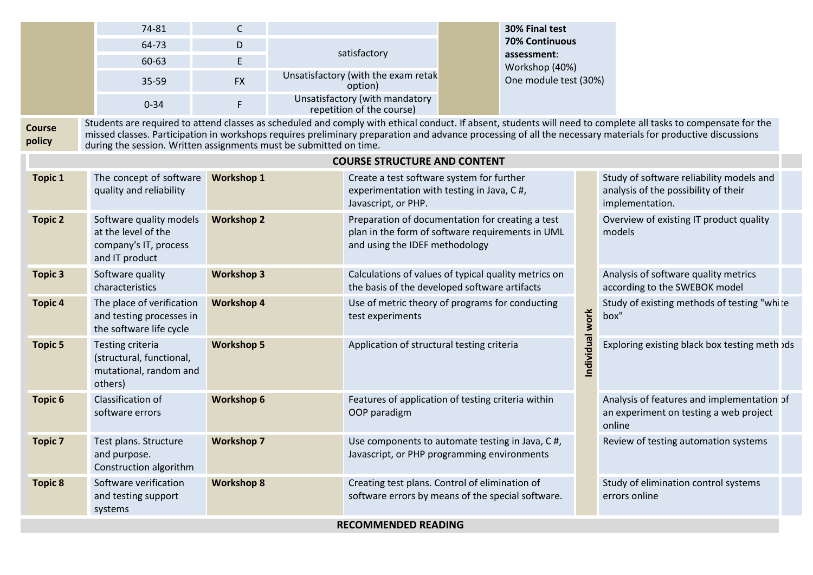|                         | 74-81                                                                                     | $\mathsf{C}$      |                                                                                                                                                                                                                                                                                                                                                                                                       |                                                                                                | 30% Final test                |                 |                                                                                                     |  |
|-------------------------|-------------------------------------------------------------------------------------------|-------------------|-------------------------------------------------------------------------------------------------------------------------------------------------------------------------------------------------------------------------------------------------------------------------------------------------------------------------------------------------------------------------------------------------------|------------------------------------------------------------------------------------------------|-------------------------------|-----------------|-----------------------------------------------------------------------------------------------------|--|
|                         | 64-73                                                                                     | D                 |                                                                                                                                                                                                                                                                                                                                                                                                       |                                                                                                | <b>70% Continuous</b>         |                 |                                                                                                     |  |
|                         | 60-63                                                                                     | E                 | satisfactory                                                                                                                                                                                                                                                                                                                                                                                          |                                                                                                | assessment:<br>Workshop (40%) |                 |                                                                                                     |  |
|                         | 35-59                                                                                     | <b>FX</b>         | Unsatisfactory (with the exam retak<br>option)                                                                                                                                                                                                                                                                                                                                                        |                                                                                                | One module test (30%)         |                 |                                                                                                     |  |
|                         | $0 - 34$                                                                                  | $\mathsf F$       | Unsatisfactory (with mandatory<br>repetition of the course)                                                                                                                                                                                                                                                                                                                                           |                                                                                                |                               |                 |                                                                                                     |  |
| <b>Course</b><br>policy |                                                                                           |                   | Students are required to attend classes as scheduled and comply with ethical conduct. If absent, students will need to complete all tasks to compensate for the<br>missed classes. Participation in workshops requires preliminary preparation and advance processing of all the necessary materials for productive discussions<br>during the session. Written assignments must be submitted on time. |                                                                                                |                               |                 |                                                                                                     |  |
|                         |                                                                                           |                   | <b>COURSE STRUCTURE AND CONTENT</b>                                                                                                                                                                                                                                                                                                                                                                   |                                                                                                |                               |                 |                                                                                                     |  |
| <b>Topic 1</b>          | The concept of software<br>quality and reliability                                        | <b>Workshop 1</b> | Create a test software system for further<br>experimentation with testing in Java, C#,<br>Javascript, or PHP.                                                                                                                                                                                                                                                                                         |                                                                                                |                               |                 | Study of software reliability models and<br>analysis of the possibility of their<br>implementation. |  |
| <b>Topic 2</b>          | Software quality models<br>at the level of the<br>company's IT, process<br>and IT product | <b>Workshop 2</b> | Preparation of documentation for creating a test<br>plan in the form of software requirements in UML<br>and using the IDEF methodology                                                                                                                                                                                                                                                                |                                                                                                |                               |                 | Overview of existing IT product quality<br>models                                                   |  |
| <b>Topic 3</b>          | Software quality<br>characteristics                                                       | <b>Workshop 3</b> | Calculations of values of typical quality metrics on<br>the basis of the developed software artifacts                                                                                                                                                                                                                                                                                                 |                                                                                                |                               |                 | Analysis of software quality metrics<br>according to the SWEBOK model                               |  |
| <b>Topic 4</b>          | The place of verification<br>and testing processes in<br>the software life cycle          | <b>Workshop 4</b> | Use of metric theory of programs for conducting<br>test experiments                                                                                                                                                                                                                                                                                                                                   |                                                                                                |                               |                 | Study of existing methods of testing "whilte<br>box"                                                |  |
| <b>Topic 5</b>          | Testing criteria<br>(structural, functional,<br>mutational, random and<br>others)         | <b>Workshop 5</b> | Application of structural testing criteria                                                                                                                                                                                                                                                                                                                                                            |                                                                                                |                               | Individual work | Exploring existing black box testing meth ods                                                       |  |
| <b>Topic 6</b>          | Classification of<br>software errors                                                      | <b>Workshop 6</b> | Features of application of testing criteria within<br>OOP paradigm                                                                                                                                                                                                                                                                                                                                    |                                                                                                |                               |                 | Analysis of features and implementation of<br>an experiment on testing a web project<br>online      |  |
| <b>Topic 7</b>          | Test plans. Structure<br>and purpose.<br>Construction algorithm                           | <b>Workshop 7</b> |                                                                                                                                                                                                                                                                                                                                                                                                       | Use components to automate testing in Java, C#,<br>Javascript, or PHP programming environments |                               |                 | Review of testing automation systems                                                                |  |
| <b>Topic 8</b>          | Software verification<br>and testing support<br>systems                                   | <b>Workshop 8</b> | Creating test plans. Control of elimination of<br>software errors by means of the special software.                                                                                                                                                                                                                                                                                                   |                                                                                                |                               |                 | Study of elimination control systems<br>errors online                                               |  |
|                         |                                                                                           |                   | <b>RECOMMENDED READING</b>                                                                                                                                                                                                                                                                                                                                                                            |                                                                                                |                               |                 |                                                                                                     |  |